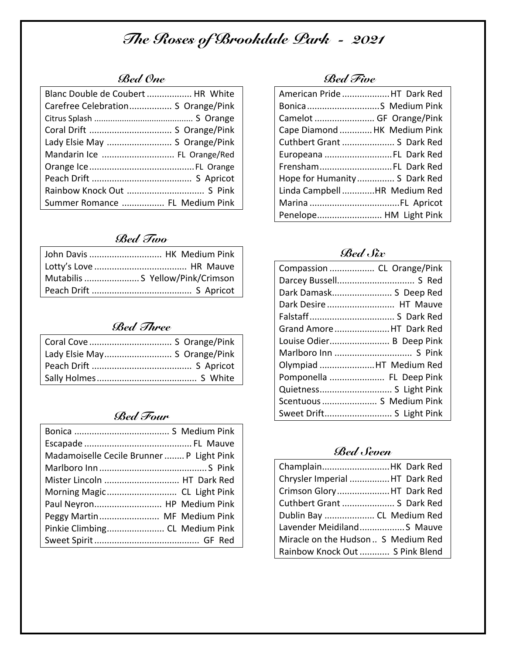# *The Roses of Brookdale Park - 2021*

# *Bed One*

| Blanc Double de Coubert  HR White  |  |
|------------------------------------|--|
| Carefree Celebration S Orange/Pink |  |
|                                    |  |
|                                    |  |
| Lady Elsie May  S Orange/Pink      |  |
| Mandarin Ice  FL Orange/Red        |  |
|                                    |  |
|                                    |  |
|                                    |  |
| Summer Romance  FL Medium Pink     |  |

# *Bed Two*

| John Davis  HK Medium Pink       |
|----------------------------------|
|                                  |
| Mutabilis  S Yellow/Pink/Crimson |
|                                  |

## *Bed Three*

| Coral Cove  S Orange/Pink    |
|------------------------------|
| Lady Elsie May S Orange/Pink |
|                              |
|                              |

## *Bed Four*

| Madamoiselle Cecile Brunner  P Light Pink |
|-------------------------------------------|
|                                           |
| Mister Lincoln  HT Dark Red               |
| Morning Magic CL Light Pink               |
| Paul Neyron HP Medium Pink                |
| Peggy Martin MF Medium Pink               |
| Pinkie Climbing CL Medium Pink            |
|                                           |

#### *Bed Five*

| American Pride HT Dark Red   |  |
|------------------------------|--|
| Bonica S Medium Pink         |  |
| Camelot  GF Orange/Pink      |  |
| Cape Diamond  HK Medium Pink |  |
| Cuthbert Grant  S Dark Red   |  |
| Europeana FL Dark Red        |  |
| FrenshamFL Dark Red          |  |
| Hope for Humanity S Dark Red |  |
| Linda Campbell HR Medium Red |  |
|                              |  |
| Penelope HM Light Pink       |  |

### *Bed Six*

| Compassion  CL Orange/Pink |  |
|----------------------------|--|
|                            |  |
| Dark Damask S Deep Red     |  |
| Dark Desire  HT Mauve      |  |
|                            |  |
| Grand Amore HT Dark Red    |  |
| Louise Odier B Deep Pink   |  |
|                            |  |
| Olympiad HT Medium Red     |  |
| Pomponella  FL Deep Pink   |  |
| Quietness S Light Pink     |  |
| Scentuous  S Medium Pink   |  |
| Sweet Drift S Light Pink   |  |

### *Bed Seven*

| ChamplainHK Dark Red                |
|-------------------------------------|
| Chrysler Imperial HT Dark Red       |
| Crimson GloryHT Dark Red            |
| Cuthbert Grant  S Dark Red          |
| Dublin Bay  CL Medium Red           |
| Lavender Meidiland S Mauve          |
| Miracle on the Hudson  S Medium Red |
| Rainbow Knock Out  S Pink Blend     |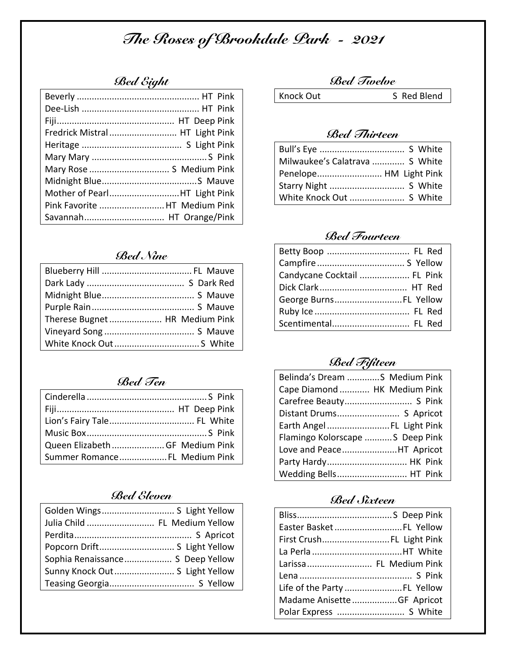# *The Roses of Brookdale Park - 2021*

## *Bed Eight*

| Fredrick Mistral HT Light Pink |  |
|--------------------------------|--|
|                                |  |
|                                |  |
| Mary Rose  S Medium Pink       |  |
|                                |  |
| Mother of PearlHT Light Pink   |  |
| Pink Favorite  HT Medium Pink  |  |
|                                |  |

## *Bed Nine*

| Therese Bugnet  HR Medium Pink |  |
|--------------------------------|--|
|                                |  |
|                                |  |

### *Bed Ten*

| Queen Elizabeth  GF Medium Pink |  |
|---------------------------------|--|
| Summer Romance FL Medium Pink   |  |

#### *Bed Eleven*

| Julia Child  FL Medium Yellow    |  |
|----------------------------------|--|
|                                  |  |
| Popcorn Drift S Light Yellow     |  |
| Sophia Renaissance S Deep Yellow |  |
| Sunny Knock Out S Light Yellow   |  |
|                                  |  |

#### *Bed Twelve*

Knock Out S Red Blend

## *Bed Thirteen*

| Milwaukee's Calatrava  S White |
|--------------------------------|
| Penelope HM Light Pink         |
|                                |
|                                |

## *Bed Fourteen*

| Candycane Cocktail  FL Pink |  |
|-----------------------------|--|
|                             |  |
| George Burns FL Yellow      |  |
|                             |  |
| Scentimental FL Red         |  |

# *Bed Fifiteen*

| Belinda's Dream S Medium Pink    |
|----------------------------------|
| Cape Diamond  HK Medium Pink     |
| Carefree Beauty S Pink           |
|                                  |
| Earth Angel  FL Light Pink       |
| Flamingo Kolorscape  S Deep Pink |
| Love and PeaceHT Apricot         |
| Party Hardy HK Pink              |
| Wedding Bells HT Pink            |

#### *Bed Sixteen*

| Easter Basket  FL Yellow   |  |
|----------------------------|--|
| First Crush FL Light Pink  |  |
|                            |  |
| Larissa FL Medium Pink     |  |
|                            |  |
|                            |  |
| Madame Anisette GF Apricot |  |
| Polar Express  S White     |  |